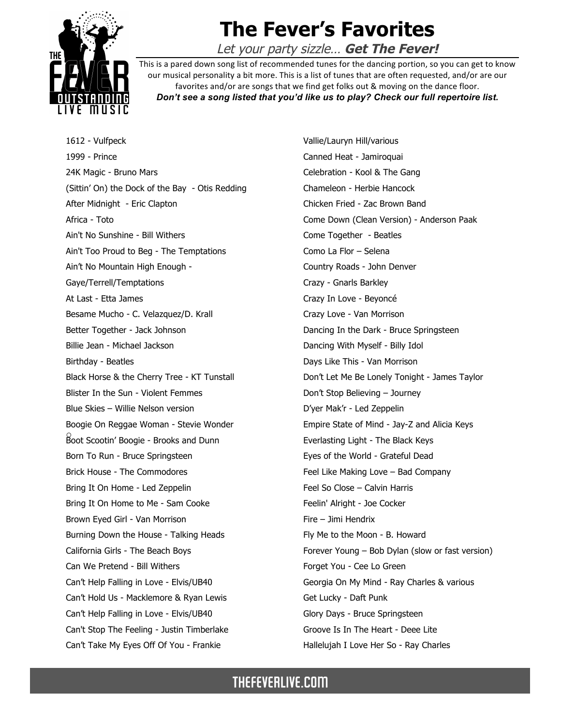

## **The Fever's Favorites**

Let your party sizzle… **Get The Fever!**

This is a pared down song list of recommended tunes for the dancing portion, so you can get to know our musical personality a bit more. This is a list of tunes that are often requested, and/or are our favorites and/or are songs that we find get folks out & moving on the dance floor. *Don't see a song listed that you'd like us to play? Check our full repertoire list.*

o Boot Scootin' Boogie - Brooks and Dunn 1612 - Vulfpeck 1999 - Prince 24K Magic - Bruno Mars (Sittin' On) the Dock of the Bay - Otis Redding After Midnight - Eric Clapton Africa - Toto Ain't No Sunshine - Bill Withers Ain't Too Proud to Beg - The Temptations Ain't No Mountain High Enough - Gaye/Terrell/Temptations At Last - Etta James Besame Mucho - C. Velazquez/D. Krall Better Together - Jack Johnson Billie Jean - Michael Jackson Birthday - Beatles Black Horse & the Cherry Tree - KT Tunstall Blister In the Sun - Violent Femmes Blue Skies – Willie Nelson version Boogie On Reggae Woman - Stevie Wonder Born To Run - Bruce Springsteen Brick House - The Commodores Bring It On Home - Led Zeppelin Bring It On Home to Me - Sam Cooke Brown Eyed Girl - Van Morrison Burning Down the House - Talking Heads California Girls - The Beach Boys Can We Pretend - Bill Withers Can't Help Falling in Love - Elvis/UB40 Can't Hold Us - Macklemore & Ryan Lewis Can't Help Falling in Love - Elvis/UB40 Can't Stop The Feeling - Justin Timberlake Can't Take My Eyes Off Of You - Frankie

Vallie/Lauryn Hill/various Canned Heat - Jamiroquai Celebration - Kool & The Gang Chameleon - Herbie Hancock Chicken Fried - Zac Brown Band Come Down (Clean Version) - Anderson Paak Come Together - Beatles Como La Flor – Selena Country Roads - John Denver Crazy - Gnarls Barkley Crazy In Love - Beyoncé Crazy Love - Van Morrison Dancing In the Dark - Bruce Springsteen Dancing With Myself - Billy Idol Days Like This - Van Morrison Don't Let Me Be Lonely Tonight - James Taylor Don't Stop Believing – Journey D'yer Mak'r - Led Zeppelin Empire State of Mind - Jay-Z and Alicia Keys Everlasting Light - The Black Keys Eyes of the World - Grateful Dead Feel Like Making Love – Bad Company Feel So Close – Calvin Harris Feelin' Alright - Joe Cocker Fire – Jimi Hendrix Fly Me to the Moon - B. Howard Forever Young – Bob Dylan (slow or fast version) Forget You - Cee Lo Green Georgia On My Mind - Ray Charles & various Get Lucky - Daft Punk Glory Days - Bruce Springsteen Groove Is In The Heart - Deee Lite Hallelujah I Love Her So - Ray Charles

## THEFEVERLIVE.COM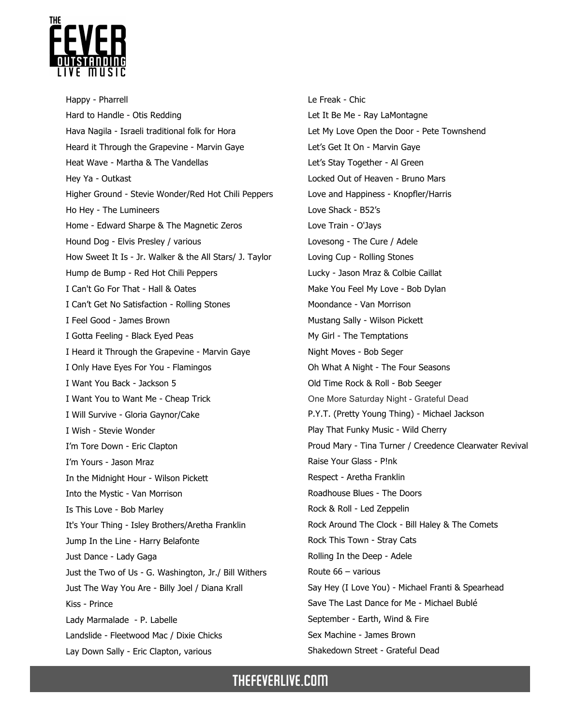

Happy - Pharrell Hard to Handle - Otis Redding Hava Nagila - Israeli traditional folk for Hora Heard it Through the Grapevine - Marvin Gaye Heat Wave - Martha & The Vandellas Hey Ya - Outkast Higher Ground - Stevie Wonder/Red Hot Chili Peppers Ho Hey - The Lumineers Home - Edward Sharpe & The Magnetic Zeros Hound Dog - Elvis Presley / various How Sweet It Is - Jr. Walker & the All Stars/ J. Taylor Hump de Bump - Red Hot Chili Peppers I Can't Go For That - Hall & Oates I Can't Get No Satisfaction - Rolling Stones I Feel Good - James Brown I Gotta Feeling - Black Eyed Peas I Heard it Through the Grapevine - Marvin Gaye I Only Have Eyes For You - Flamingos I Want You Back - Jackson 5 I Want You to Want Me - Cheap Trick I Will Survive - Gloria Gaynor/Cake I Wish - Stevie Wonder I'm Tore Down - Eric Clapton I'm Yours - Jason Mraz In the Midnight Hour - Wilson Pickett Into the Mystic - Van Morrison Is This Love - Bob Marley It's Your Thing - Isley Brothers/Aretha Franklin Jump In the Line - Harry Belafonte Just Dance - Lady Gaga Just the Two of Us - G. Washington, Jr./ Bill Withers Just The Way You Are - Billy Joel / Diana Krall Kiss - Prince Lady Marmalade - P. Labelle Landslide - Fleetwood Mac / Dixie Chicks Lay Down Sally - Eric Clapton, various

Le Freak - Chic Let It Be Me - Ray LaMontagne Let My Love Open the Door - Pete Townshend Let's Get It On - Marvin Gaye Let's Stay Together - Al Green Locked Out of Heaven - Bruno Mars Love and Happiness - Knopfler/Harris Love Shack - B52's Love Train - O'Jays Lovesong - The Cure / Adele Loving Cup - Rolling Stones Lucky - Jason Mraz & Colbie Caillat Make You Feel My Love - Bob Dylan Moondance - Van Morrison Mustang Sally - Wilson Pickett My Girl - The Temptations Night Moves - Bob Seger Oh What A Night - The Four Seasons Old Time Rock & Roll - Bob Seeger One More Saturday Night - Grateful Dead P.Y.T. (Pretty Young Thing) - Michael Jackson Play That Funky Music - Wild Cherry Proud Mary - Tina Turner / Creedence Clearwater Revival Raise Your Glass - P!nk Respect - Aretha Franklin Roadhouse Blues - The Doors Rock & Roll - Led Zeppelin Rock Around The Clock - Bill Haley & The Comets Rock This Town - Stray Cats Rolling In the Deep - Adele Route 66 – various Say Hey (I Love You) - Michael Franti & Spearhead Save The Last Dance for Me - Michael Bublé September - Earth, Wind & Fire Sex Machine - James Brown Shakedown Street - Grateful Dead

## **THEFEVERLIVE.COM**